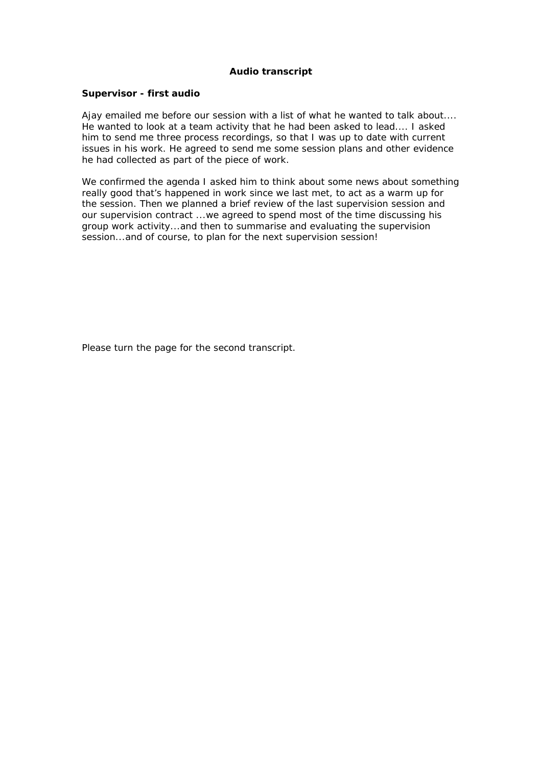## **Audio transcript**

## **Supervisor - first audio**

Ajay emailed me before our session with a list of what he wanted to talk about.... He wanted to look at a team activity that he had been asked to lead.... I asked him to send me three process recordings, so that I was up to date with current issues in his work. He agreed to send me some session plans and other evidence he had collected as part of the piece of work.

We confirmed the agenda I asked him to think about some news about something really good that's happened in work since we last met, to act as a warm up for the session. Then we planned a brief review of the last supervision session and our supervision contract ...we agreed to spend most of the time discussing his group work activity...and then to summarise and evaluating the supervision session...and of course, to plan for the next supervision session!

*Please turn the page for the second transcript.*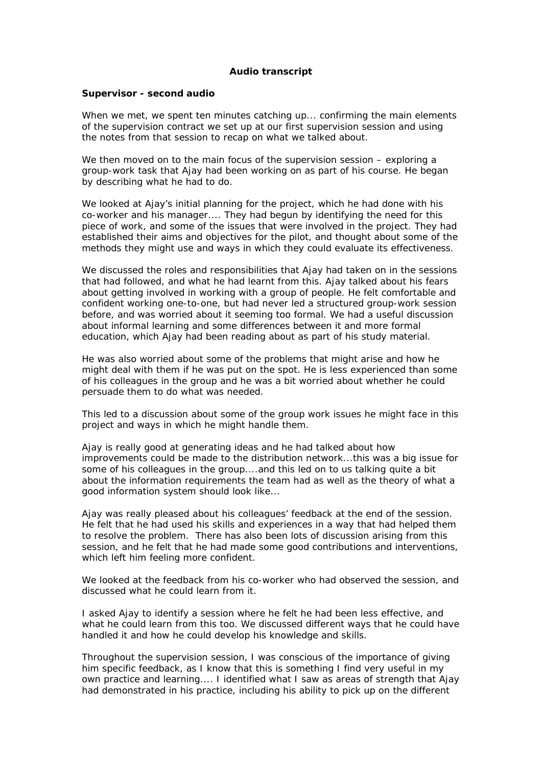## **Audio transcript**

## **Supervisor - second audio**

When we met, we spent ten minutes catching up... confirming the main elements of the supervision contract we set up at our first supervision session and using the notes from that session to recap on what we talked about.

We then moved on to the main focus of the supervision session – exploring a group-work task that Ajay had been working on as part of his course. He began by describing what he had to do.

We looked at Ajay's initial planning for the project, which he had done with his co-worker and his manager.... They had begun by identifying the need for this piece of work, and some of the issues that were involved in the project. They had established their aims and objectives for the pilot, and thought about some of the methods they might use and ways in which they could evaluate its effectiveness.

We discussed the roles and responsibilities that Ajay had taken on in the sessions that had followed, and what he had learnt from this. Ajay talked about his fears about getting involved in working with a group of people. He felt comfortable and confident working one-to-one, but had never led a structured group-work session before, and was worried about it seeming too formal. We had a useful discussion about informal learning and some differences between it and more formal education, which Ajay had been reading about as part of his study material.

He was also worried about some of the problems that might arise and how he might deal with them if he was put on the spot. He is less experienced than some of his colleagues in the group and he was a bit worried about whether he could persuade them to do what was needed.

This led to a discussion about some of the group work issues he might face in this project and ways in which he might handle them.

Ajay is really good at generating ideas and he had talked about how improvements could be made to the distribution network...this was a big issue for some of his colleagues in the group....and this led on to us talking quite a bit about the information requirements the team had as well as the theory of what a good information system should look like...

Ajay was really pleased about his colleagues' feedback at the end of the session. He felt that he had used his skills and experiences in a way that had helped them to resolve the problem. There has also been lots of discussion arising from this session, and he felt that he had made some good contributions and interventions, which left him feeling more confident.

We looked at the feedback from his co-worker who had observed the session, and discussed what he could learn from it.

I asked Ajay to identify a session where he felt he had been less effective, and what he could learn from this too. We discussed different ways that he could have handled it and how he could develop his knowledge and skills.

Throughout the supervision session, I was conscious of the importance of giving him specific feedback, as I know that this is something I find very useful in my own practice and learning.... I identified what I saw as areas of strength that Ajay had demonstrated in his practice, including his ability to pick up on the different